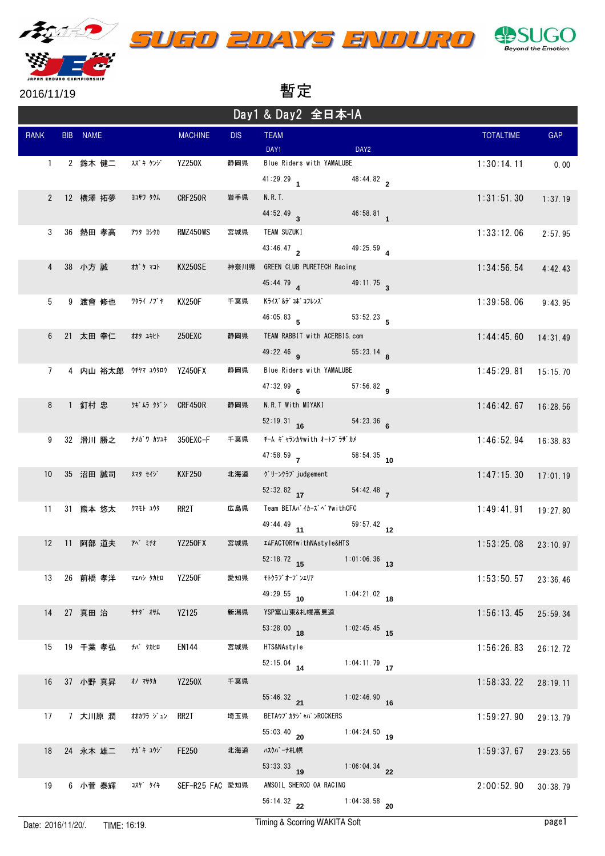

2016/11/19 暫暫

| Day1 & Day2 全日本-IA |  |                             |                     |                 |            |                                              |                         |  |                  |          |
|--------------------|--|-----------------------------|---------------------|-----------------|------------|----------------------------------------------|-------------------------|--|------------------|----------|
| <b>RANK</b>        |  | BIB NAME                    |                     | <b>MACHINE</b>  | <b>DIS</b> | <b>TEAM</b><br>DAY1                          | DAY <sub>2</sub>        |  | <b>TOTALTIME</b> | GAP      |
| $\mathbf{1}$       |  | 2 鈴木 健二   スズキ ケンジ           |                     | <b>YZ250X</b>   | 静岡県        | Blue Riders with YAMALUBE<br>$41:29.29$ 1    | $48:44.82$ <sub>2</sub> |  | 1:30:14.11       | 0.00     |
|                    |  | 2 12 横澤拓夢                   | ヨコサワ タクム            | CRF250R         | 岩手県        | N. R. T.<br>44:52.49 3                       | $46:58.81$ 1            |  | 1:31:51.30       | 1:37.19  |
| 3                  |  | 36 熱田 孝高                    | アツタ ヨシタカ            | RMZ450WS        | 宮城県        | TEAM SUZUKI<br>43:46.47                      | 49:25.59                |  | 1:33:12.06       | 2:57.95  |
|                    |  | 4 38 小方 誠                   | オガタ マコト             | KX250SE         | 神奈川県       | GREEN CLUB PURETECH Racing                   |                         |  | 1:34:56.54       | 4:42.43  |
| 5                  |  | 9 渡會 修也                     | ワタライ ノブヤ            | KX250F          | 千葉県        | $45:44.79$ 4<br>Kライズ&デコボコフレンズ                | $49:11.75$ <sub>3</sub> |  | 1:39:58.06       | 9:43.95  |
| 6                  |  | 21 太田幸仁 材 斗tト               |                     | 250EXC          | 静岡県        | $46:05.83$ 5<br>TEAM RABBIT with ACERBIS.com |                         |  | 1:44:45.60       | 14:31.49 |
| $\overline{7}$     |  | 4 内山 裕太郎 ウチヤマ ユウタロウ YZ450FX |                     |                 | 静岡県        | $49:22.46$ a<br>Blue Riders with YAMALUBE    | $55:23.14$ 8            |  | 1:45:29.81       | 15:15.70 |
| 8                  |  | 1 釘村 忠 クギムラ タダシ CRF450R     |                     |                 | 静岡県        | $47:32.99$ 6<br>N.R.T With MIYAKI            | $57:56.82$ q            |  | 1:46:42.67       | 16:28.56 |
| 9                  |  | 32 滑川 勝之                    | ナメガワ カツユキ  350EXC—F |                 | 千葉県        | $52:19.31$ 16<br>チーム ギャランカケwith オートプラザ゚カメ    | 54:23.36                |  | 1:46:52.94       | 16:38.83 |
| 10 <sup>°</sup>    |  | 35 沼田 誠司                    | <b>ヌマタ セイジ</b>      | <b>KXF250</b>   | 北海道        | 47:58.59<br>グリーンクラブjudgement                 | $58:54.35$ 10           |  | 1:47:15.30       | 17:01.19 |
| 11                 |  | 31 熊本 悠太                    | クマモト ユウタ            | RR2T            | 広島県        | $52:32.82$ 17<br>Team BETAバイカーズベアwithCFC     | 54:42.48                |  | 1:49:41.91       | 19:27.80 |
| 12                 |  | 11 阿部 道夫                    | 飞"ミチオ               | YZ250FX         | 宮城県        | $49:44.49$ 11<br>ILFACTORYwithNAstyle&HTS    | $59:57.42$ 12           |  | 1:53:25.08       | 23:10.97 |
| 13                 |  | 26 前橋 孝洋                    | マエハシ タカヒロ           | <b>YZ250F</b>   | 愛知県        | 52:18.72 15 1:01:06.36 13<br>モトクラブ オーフ ンエリア  |                         |  | 1:53:50.57       | 23:36.46 |
|                    |  | 14 27 真田 治                  | <b>サナタ゛ オサム</b>     | YZ125           | 新潟県        | $49:29.55$ 10<br>YSP富山東&札幌高見道                | $1:04:21.02$ 18         |  | 1:56:13.45       | 25:59.34 |
| 15                 |  | 19 千葉 孝弘                    | <b>チバ タカヒロ</b>      | <b>EN144</b>    | 宮城県        | $53:28.00$ 18<br>HTS&NAstyle                 | $1:02:45.45$ 15         |  | 1:56:26.83       | 26:12.72 |
| 16                 |  | 37 小野 真昇                    | <b>オノ マサタカ</b>      | <b>YZ250X</b>   | 千葉県        | $52:15.04$ 14                                | 1:04:11.79 $17$         |  | 1:58:33.22       | 28:19.11 |
| 17                 |  | 7 大川原 潤                     | オオカワラ ジュン           | RR2T            | 埼玉県        | $55:46.32$ 21<br>BETAウブ カタジ ャパ ンROCKERS      | $1:02:46.90$ 16         |  | 1:59:27.90       | 29:13.79 |
|                    |  |                             |                     |                 | 北海道        | $55:03.40$ 20                                | 1:04:24.50 19           |  |                  |          |
| 18                 |  | 24 永木 雄二                    | ガキコウジ               | <b>FE250</b>    |            | ハスクバーナ札幌<br>$53:33.33$ 19                    | $1:06:04.34$ 22         |  | 1:59:37.67       | 29:23.56 |
| 19                 |  | 6 小菅 泰輝                     | コスケ゛ タイキ            | SEF-R25 FAC 愛知県 |            | AMSOIL SHERCO OA RACING<br>$56:14.32$ 22     | $1:04:38.58$ 20         |  | 2:00:52.90       | 30:38.79 |